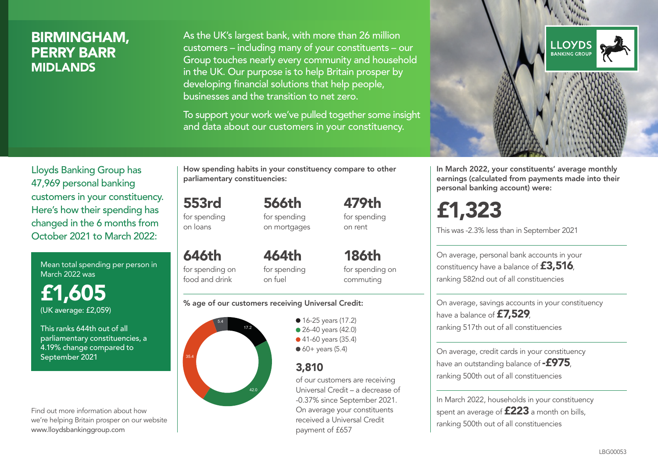## BIRMINGHAM, PERRY BARR MIDLANDS

As the UK's largest bank, with more than 26 million customers – including many of your constituents – our Group touches nearly every community and household in the UK. Our purpose is to help Britain prosper by developing financial solutions that help people, businesses and the transition to net zero.

To support your work we've pulled together some insight and data about our customers in your constituency.



Mean total spending per person in March 2022 was

£1,605 (UK average: £2,059)

This ranks 644th out of all parliamentary constituencies, a 4.19% change compared to September 2021

Find out more information about how we're helping Britain prosper on our website www.lloydsbankinggroup.com

How spending habits in your constituency compare to other parliamentary constituencies:

553rd for spending 566th

on loans

for spending on mortgages

646th for spending on food and drink 464th for spending on fuel

for spending on commuting

479th for spending on rent

186th

#### % age of our customers receiving Universal Credit:



• 16-25 years (17.2) ● 26-40 years (42.0) ● 41-60 years (35.4)  $60+$  years (5.4)

## 3,810

of our customers are receiving Universal Credit – a decrease of -0.37% since September 2021. On average your constituents received a Universal Credit payment of £657



In March 2022, your constituents' average monthly earnings (calculated from payments made into their personal banking account) were:

£1,323

This was -2.3% less than in September 2021

On average, personal bank accounts in your constituency have a balance of £3,516, ranking 582nd out of all constituencies

On average, savings accounts in your constituency have a balance of **£7,529** ranking 517th out of all constituencies

On average, credit cards in your constituency have an outstanding balance of  $-$ £975, ranking 500th out of all constituencies

In March 2022, households in your constituency spent an average of **£223** a month on bills, ranking 500th out of all constituencies